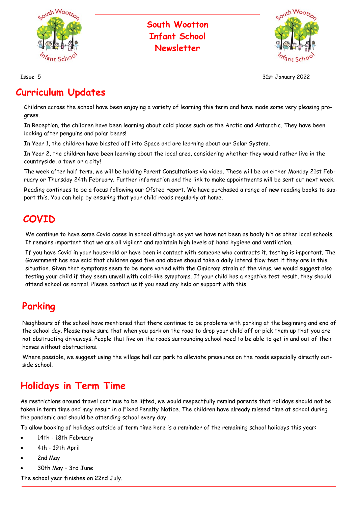

#### **South Wootton Infant School Newsletter**



Issue 5 31st January 2022

#### **Curriculum Updates**

Children across the school have been enjoying a variety of learning this term and have made some very pleasing progress.

In Reception, the children have been learning about cold places such as the Arctic and Antarctic. They have been looking after penguins and polar bears!

In Year 1, the children have blasted off into Space and are learning about our Solar System.

In Year 2, the children have been learning about the local area, considering whether they would rather live in the countryside, a town or a city!

The week after half term, we will be holding Parent Consultations via video. These will be on either Monday 21st February or Thursday 24th February. Further information and the link to make appointments will be sent out next week.

Reading continues to be a focus following our Ofsted report. We have purchased a range of new reading books to support this. You can help by ensuring that your child reads regularly at home.

#### **COVID**

We continue to have some Covid cases in school although as yet we have not been as badly hit as other local schools. It remains important that we are all vigilant and maintain high levels of hand hygiene and ventilation.

If you have Covid in your household or have been in contact with someone who contracts it, testing is important. The Government has now said that children aged five and above should take a daily lateral flow test if they are in this situation. Given that symptoms seem to be more varied with the Omicrom strain of the virus, we would suggest also testing your child if they seem unwell with cold-like symptoms. If your child has a negative test result, they should attend school as normal. Please contact us if you need any help or support with this.

## **Parking**

Neighbours of the school have mentioned that there continue to be problems with parking at the beginning and end of the school day. Please make sure that when you park on the road to drop your child off or pick them up that you are not obstructing driveways. People that live on the roads surrounding school need to be able to get in and out of their homes without obstructions.

Where possible, we suggest using the village hall car park to alleviate pressures on the roads especially directly outside school.

## **Holidays in Term Time**

As restrictions around travel continue to be lifted, we would respectfully remind parents that holidays should not be taken in term time and may result in a Fixed Penalty Notice. The children have already missed time at school during the pandemic and should be attending school every day.

To allow booking of holidays outside of term time here is a reminder of the remaining school holidays this year:

- 14th 18th February
- 4th 19th April
- 2nd May
- 30th May 3rd June

The school year finishes on 22nd July.